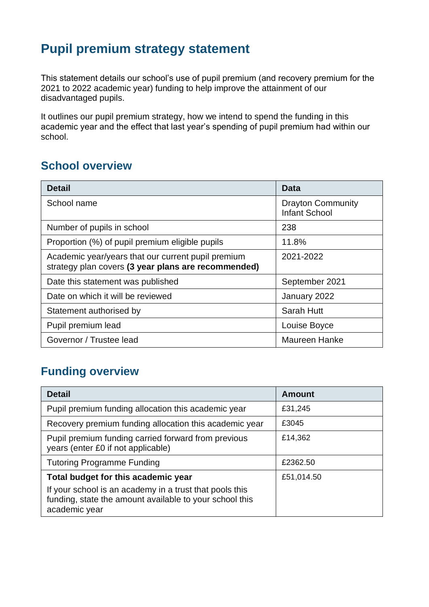# **Pupil premium strategy statement**

This statement details our school's use of pupil premium (and recovery premium for the 2021 to 2022 academic year) funding to help improve the attainment of our disadvantaged pupils.

It outlines our pupil premium strategy, how we intend to spend the funding in this academic year and the effect that last year's spending of pupil premium had within our school.

### **School overview**

| <b>Detail</b>                                                                                             | Data                                             |
|-----------------------------------------------------------------------------------------------------------|--------------------------------------------------|
| School name                                                                                               | <b>Drayton Community</b><br><b>Infant School</b> |
| Number of pupils in school                                                                                | 238                                              |
| Proportion (%) of pupil premium eligible pupils                                                           | 11.8%                                            |
| Academic year/years that our current pupil premium<br>strategy plan covers (3 year plans are recommended) | 2021-2022                                        |
| Date this statement was published                                                                         | September 2021                                   |
| Date on which it will be reviewed                                                                         | January 2022                                     |
| Statement authorised by                                                                                   | Sarah Hutt                                       |
| Pupil premium lead                                                                                        | Louise Boyce                                     |
| Governor / Trustee lead                                                                                   | <b>Maureen Hanke</b>                             |

## **Funding overview**

| <b>Detail</b>                                                                                                                       | Amount     |
|-------------------------------------------------------------------------------------------------------------------------------------|------------|
| Pupil premium funding allocation this academic year                                                                                 | £31,245    |
| Recovery premium funding allocation this academic year                                                                              | £3045      |
| Pupil premium funding carried forward from previous<br>years (enter £0 if not applicable)                                           | £14,362    |
| <b>Tutoring Programme Funding</b>                                                                                                   | £2362.50   |
| Total budget for this academic year                                                                                                 | £51,014.50 |
| If your school is an academy in a trust that pools this<br>funding, state the amount available to your school this<br>academic year |            |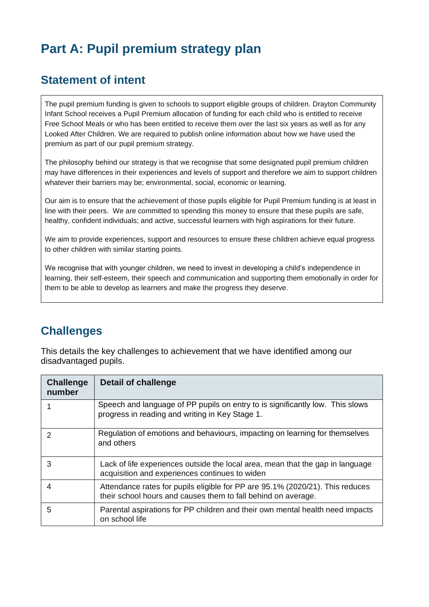# **Part A: Pupil premium strategy plan**

#### **Statement of intent**

The pupil premium funding is given to schools to support eligible groups of children. Drayton Community Infant School receives a Pupil Premium allocation of funding for each child who is entitled to receive Free School Meals or who has been entitled to receive them over the last six years as well as for any Looked After Children. We are required to publish online information about how we have used the premium as part of our pupil premium strategy.

The philosophy behind our strategy is that we recognise that some designated pupil premium children may have differences in their experiences and levels of support and therefore we aim to support children whatever their barriers may be; environmental, social, economic or learning.

Our aim is to ensure that the achievement of those pupils eligible for Pupil Premium funding is at least in line with their peers. We are committed to spending this money to ensure that these pupils are safe, healthy, confident individuals; and active, successful learners with high aspirations for their future.

We aim to provide experiences, support and resources to ensure these children achieve equal progress to other children with similar starting points.

We recognise that with younger children, we need to invest in developing a child's independence in learning, their self-esteem, their speech and communication and supporting them emotionally in order for them to be able to develop as learners and make the progress they deserve.

#### **Challenges**

This details the key challenges to achievement that we have identified among our disadvantaged pupils.

| <b>Challenge</b><br>number | Detail of challenge                                                                                                                            |
|----------------------------|------------------------------------------------------------------------------------------------------------------------------------------------|
|                            | Speech and language of PP pupils on entry to is significantly low. This slows<br>progress in reading and writing in Key Stage 1.               |
| $\mathcal{P}$              | Regulation of emotions and behaviours, impacting on learning for themselves<br>and others                                                      |
| 3                          | Lack of life experiences outside the local area, mean that the gap in language<br>acquisition and experiences continues to widen               |
| 4                          | Attendance rates for pupils eligible for PP are 95.1% (2020/21). This reduces<br>their school hours and causes them to fall behind on average. |
| 5                          | Parental aspirations for PP children and their own mental health need impacts<br>on school life                                                |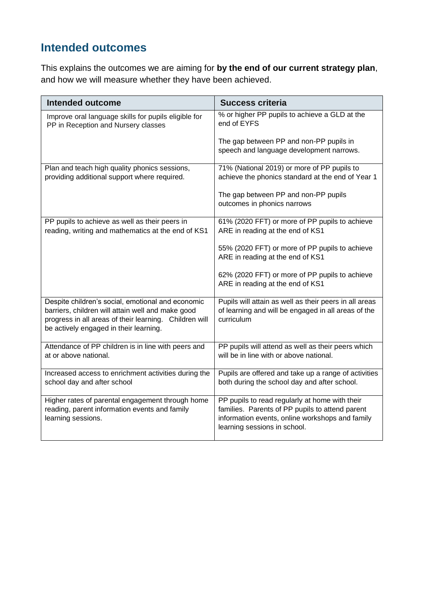### **Intended outcomes**

This explains the outcomes we are aiming for **by the end of our current strategy plan**, and how we will measure whether they have been achieved.

| <b>Intended outcome</b>                                                                                                                                                                                    | <b>Success criteria</b>                                                                                                                                                              |
|------------------------------------------------------------------------------------------------------------------------------------------------------------------------------------------------------------|--------------------------------------------------------------------------------------------------------------------------------------------------------------------------------------|
| Improve oral language skills for pupils eligible for<br>PP in Reception and Nursery classes                                                                                                                | % or higher PP pupils to achieve a GLD at the<br>end of EYFS                                                                                                                         |
|                                                                                                                                                                                                            | The gap between PP and non-PP pupils in<br>speech and language development narrows.                                                                                                  |
| Plan and teach high quality phonics sessions,<br>providing additional support where required.                                                                                                              | 71% (National 2019) or more of PP pupils to<br>achieve the phonics standard at the end of Year 1                                                                                     |
|                                                                                                                                                                                                            | The gap between PP and non-PP pupils<br>outcomes in phonics narrows                                                                                                                  |
| PP pupils to achieve as well as their peers in<br>reading, writing and mathematics at the end of KS1                                                                                                       | 61% (2020 FFT) or more of PP pupils to achieve<br>ARE in reading at the end of KS1                                                                                                   |
|                                                                                                                                                                                                            | 55% (2020 FFT) or more of PP pupils to achieve<br>ARE in reading at the end of KS1                                                                                                   |
|                                                                                                                                                                                                            | 62% (2020 FFT) or more of PP pupils to achieve<br>ARE in reading at the end of KS1                                                                                                   |
| Despite children's social, emotional and economic<br>barriers, children will attain well and make good<br>progress in all areas of their learning. Children will<br>be actively engaged in their learning. | Pupils will attain as well as their peers in all areas<br>of learning and will be engaged in all areas of the<br>curriculum                                                          |
| Attendance of PP children is in line with peers and<br>at or above national.                                                                                                                               | PP pupils will attend as well as their peers which<br>will be in line with or above national.                                                                                        |
| Increased access to enrichment activities during the<br>school day and after school                                                                                                                        | Pupils are offered and take up a range of activities<br>both during the school day and after school.                                                                                 |
| Higher rates of parental engagement through home<br>reading, parent information events and family<br>learning sessions.                                                                                    | PP pupils to read regularly at home with their<br>families. Parents of PP pupils to attend parent<br>information events, online workshops and family<br>learning sessions in school. |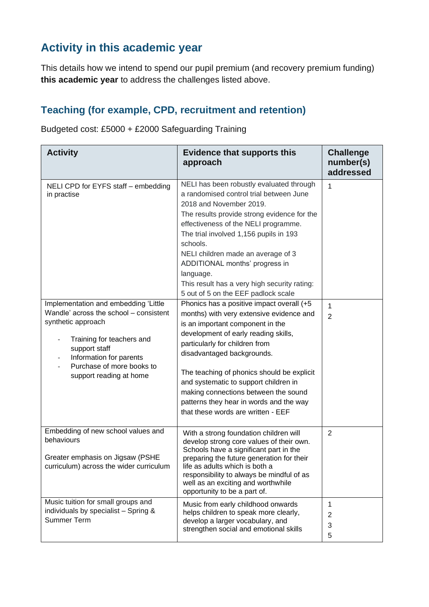### **Activity in this academic year**

This details how we intend to spend our pupil premium (and recovery premium funding) **this academic year** to address the challenges listed above.

#### **Teaching (for example, CPD, recruitment and retention)**

Budgeted cost: £5000 + £2000 Safeguarding Training

| <b>Activity</b>                                                                                                                                                                                                                                                                             | <b>Evidence that supports this</b><br>approach                                                                                                                                                                                                                                                                                                                                                                                                                                                                                                                                                                                                                                                                                                                                                                                                                                               | <b>Challenge</b><br>number(s)<br>addressed |
|---------------------------------------------------------------------------------------------------------------------------------------------------------------------------------------------------------------------------------------------------------------------------------------------|----------------------------------------------------------------------------------------------------------------------------------------------------------------------------------------------------------------------------------------------------------------------------------------------------------------------------------------------------------------------------------------------------------------------------------------------------------------------------------------------------------------------------------------------------------------------------------------------------------------------------------------------------------------------------------------------------------------------------------------------------------------------------------------------------------------------------------------------------------------------------------------------|--------------------------------------------|
| NELI CPD for EYFS staff - embedding<br>in practise<br>Implementation and embedding 'Little<br>Wandle' across the school - consistent<br>synthetic approach<br>Training for teachers and<br>support staff<br>Information for parents<br>Purchase of more books to<br>support reading at home | NELI has been robustly evaluated through<br>a randomised control trial between June<br>2018 and November 2019.<br>The results provide strong evidence for the<br>effectiveness of the NELI programme.<br>The trial involved 1,156 pupils in 193<br>schools.<br>NELI children made an average of 3<br>ADDITIONAL months' progress in<br>language.<br>This result has a very high security rating:<br>5 out of 5 on the EEF padlock scale<br>Phonics has a positive impact overall (+5<br>months) with very extensive evidence and<br>is an important component in the<br>development of early reading skills,<br>particularly for children from<br>disadvantaged backgrounds.<br>The teaching of phonics should be explicit<br>and systematic to support children in<br>making connections between the sound<br>patterns they hear in words and the way<br>that these words are written - EEF | 1<br>1<br>$\overline{2}$                   |
| Embedding of new school values and<br>behaviours<br>Greater emphasis on Jigsaw (PSHE<br>curriculum) across the wider curriculum                                                                                                                                                             | With a strong foundation children will<br>develop strong core values of their own.<br>Schools have a significant part in the<br>preparing the future generation for their<br>life as adults which is both a<br>responsibility to always be mindful of as<br>well as an exciting and worthwhile<br>opportunity to be a part of.                                                                                                                                                                                                                                                                                                                                                                                                                                                                                                                                                               | $\overline{2}$                             |
| Music tuition for small groups and<br>individuals by specialist - Spring &<br><b>Summer Term</b>                                                                                                                                                                                            | Music from early childhood onwards<br>helps children to speak more clearly,<br>develop a larger vocabulary, and<br>strengthen social and emotional skills                                                                                                                                                                                                                                                                                                                                                                                                                                                                                                                                                                                                                                                                                                                                    | 1<br>2<br>3<br>5                           |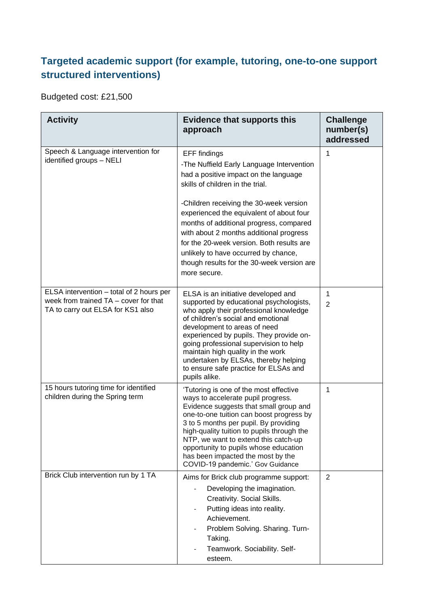### **Targeted academic support (for example, tutoring, one-to-one support structured interventions)**

Budgeted cost: £21,500

| <b>Activity</b>                                                                                                        | <b>Evidence that supports this</b><br>approach                                                                                                                                                                                                                                                                                                                                                                                                                                | <b>Challenge</b><br>number(s)<br>addressed |
|------------------------------------------------------------------------------------------------------------------------|-------------------------------------------------------------------------------------------------------------------------------------------------------------------------------------------------------------------------------------------------------------------------------------------------------------------------------------------------------------------------------------------------------------------------------------------------------------------------------|--------------------------------------------|
| Speech & Language intervention for<br>identified groups - NELI                                                         | <b>EFF</b> findings<br>-The Nuffield Early Language Intervention<br>had a positive impact on the language<br>skills of children in the trial.<br>-Children receiving the 30-week version<br>experienced the equivalent of about four<br>months of additional progress, compared<br>with about 2 months additional progress<br>for the 20-week version. Both results are<br>unlikely to have occurred by chance,<br>though results for the 30-week version are<br>more secure. | 1                                          |
| ELSA intervention - total of 2 hours per<br>week from trained TA – cover for that<br>TA to carry out ELSA for KS1 also | ELSA is an initiative developed and<br>supported by educational psychologists,<br>who apply their professional knowledge<br>of children's social and emotional<br>development to areas of need<br>experienced by pupils. They provide on-<br>going professional supervision to help<br>maintain high quality in the work<br>undertaken by ELSAs, thereby helping<br>to ensure safe practice for ELSAs and<br>pupils alike.                                                    | 1<br>$\overline{2}$                        |
| 15 hours tutoring time for identified<br>children during the Spring term                                               | 'Tutoring is one of the most effective<br>ways to accelerate pupil progress.<br>Evidence suggests that small group and<br>one-to-one tuition can boost progress by<br>3 to 5 months per pupil. By providing<br>high-quality tuition to pupils through the<br>NTP, we want to extend this catch-up<br>opportunity to pupils whose education<br>has been impacted the most by the<br>COVID-19 pandemic.' Gov Guidance                                                           | 1                                          |
| Brick Club intervention run by 1 TA                                                                                    | Aims for Brick club programme support:<br>Developing the imagination.<br>Creativity. Social Skills.<br>Putting ideas into reality.<br>Achievement.<br>Problem Solving. Sharing. Turn-<br>Taking.<br>Teamwork. Sociability. Self-<br>esteem.                                                                                                                                                                                                                                   | $\overline{2}$                             |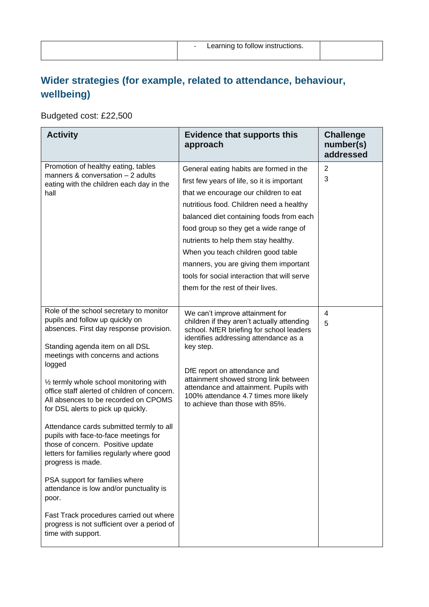### **Wider strategies (for example, related to attendance, behaviour, wellbeing)**

Budgeted cost: £22,500

| <b>Activity</b>                                                                                                                                                                                                                                                                                                                                                                                                                                                                                                                                                                                                                                                                                                                                                                               | <b>Evidence that supports this</b><br>approach                                                                                                                                                                                                                                                                                                                                                                                                                                 | <b>Challenge</b><br>number(s)<br>addressed |
|-----------------------------------------------------------------------------------------------------------------------------------------------------------------------------------------------------------------------------------------------------------------------------------------------------------------------------------------------------------------------------------------------------------------------------------------------------------------------------------------------------------------------------------------------------------------------------------------------------------------------------------------------------------------------------------------------------------------------------------------------------------------------------------------------|--------------------------------------------------------------------------------------------------------------------------------------------------------------------------------------------------------------------------------------------------------------------------------------------------------------------------------------------------------------------------------------------------------------------------------------------------------------------------------|--------------------------------------------|
| Promotion of healthy eating, tables<br>manners $&$ conversation $-2$ adults<br>eating with the children each day in the<br>hall                                                                                                                                                                                                                                                                                                                                                                                                                                                                                                                                                                                                                                                               | General eating habits are formed in the<br>first few years of life, so it is important<br>that we encourage our children to eat<br>nutritious food. Children need a healthy<br>balanced diet containing foods from each<br>food group so they get a wide range of<br>nutrients to help them stay healthy.<br>When you teach children good table<br>manners, you are giving them important<br>tools for social interaction that will serve<br>them for the rest of their lives. | 2<br>3                                     |
| Role of the school secretary to monitor<br>pupils and follow up quickly on<br>absences. First day response provision.<br>Standing agenda item on all DSL<br>meetings with concerns and actions<br>logged<br>$\frac{1}{2}$ termly whole school monitoring with<br>office staff alerted of children of concern.<br>All absences to be recorded on CPOMS<br>for DSL alerts to pick up quickly.<br>Attendance cards submitted termly to all<br>pupils with face-to-face meetings for<br>those of concern. Positive update<br>letters for families regularly where good<br>progress is made.<br>PSA support for families where<br>attendance is low and/or punctuality is<br>poor.<br>Fast Track procedures carried out where<br>progress is not sufficient over a period of<br>time with support. | We can't improve attainment for<br>children if they aren't actually attending<br>school. NfER briefing for school leaders<br>identifies addressing attendance as a<br>key step.<br>DfE report on attendance and<br>attainment showed strong link between<br>attendance and attainment. Pupils with<br>100% attendance 4.7 times more likely<br>to achieve than those with 85%.                                                                                                 | 4<br>5                                     |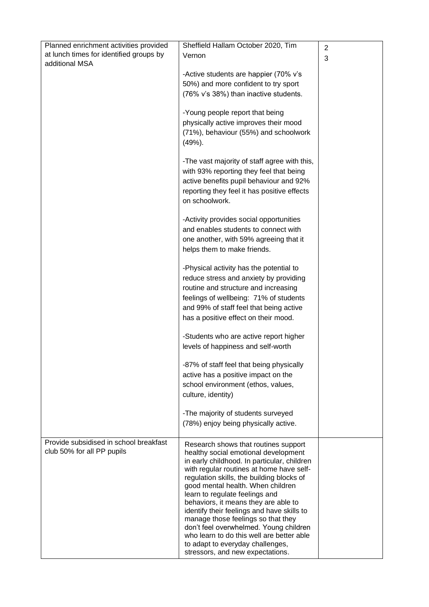| Planned enrichment activities provided  | Sheffield Hallam October 2020, Tim                                                      | $\overline{2}$ |
|-----------------------------------------|-----------------------------------------------------------------------------------------|----------------|
| at lunch times for identified groups by | Vernon                                                                                  | 3              |
| additional MSA                          |                                                                                         |                |
|                                         | -Active students are happier (70% v's                                                   |                |
|                                         | 50%) and more confident to try sport<br>(76% v's 38%) than inactive students.           |                |
|                                         |                                                                                         |                |
|                                         | -Young people report that being                                                         |                |
|                                         | physically active improves their mood                                                   |                |
|                                         | (71%), behaviour (55%) and schoolwork                                                   |                |
|                                         | (49%).                                                                                  |                |
|                                         |                                                                                         |                |
|                                         | -The vast majority of staff agree with this,<br>with 93% reporting they feel that being |                |
|                                         | active benefits pupil behaviour and 92%                                                 |                |
|                                         | reporting they feel it has positive effects                                             |                |
|                                         | on schoolwork.                                                                          |                |
|                                         |                                                                                         |                |
|                                         | -Activity provides social opportunities                                                 |                |
|                                         | and enables students to connect with                                                    |                |
|                                         | one another, with 59% agreeing that it                                                  |                |
|                                         | helps them to make friends.                                                             |                |
|                                         | -Physical activity has the potential to                                                 |                |
|                                         | reduce stress and anxiety by providing                                                  |                |
|                                         | routine and structure and increasing                                                    |                |
|                                         | feelings of wellbeing: 71% of students                                                  |                |
|                                         | and 99% of staff feel that being active                                                 |                |
|                                         | has a positive effect on their mood.                                                    |                |
|                                         | -Students who are active report higher                                                  |                |
|                                         | levels of happiness and self-worth                                                      |                |
|                                         |                                                                                         |                |
|                                         | -87% of staff feel that being physically                                                |                |
|                                         | active has a positive impact on the<br>school environment (ethos, values,               |                |
|                                         | culture, identity)                                                                      |                |
|                                         |                                                                                         |                |
|                                         | -The majority of students surveyed                                                      |                |
|                                         | (78%) enjoy being physically active.                                                    |                |
| Provide subsidised in school breakfast  |                                                                                         |                |
| club 50% for all PP pupils              | Research shows that routines support<br>healthy social emotional development            |                |
|                                         | in early childhood. In particular, children                                             |                |
|                                         | with regular routines at home have self-                                                |                |
|                                         | regulation skills, the building blocks of<br>good mental health. When children          |                |
|                                         | learn to regulate feelings and                                                          |                |
|                                         | behaviors, it means they are able to                                                    |                |
|                                         | identify their feelings and have skills to<br>manage those feelings so that they        |                |
|                                         | don't feel overwhelmed. Young children                                                  |                |
|                                         | who learn to do this well are better able                                               |                |
|                                         | to adapt to everyday challenges,<br>stressors, and new expectations.                    |                |
|                                         |                                                                                         |                |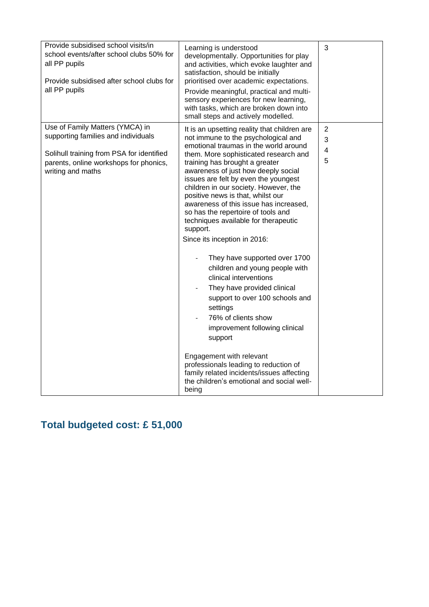| Provide subsidised school visits/in<br>school events/after school clubs 50% for<br>all PP pupils<br>Provide subsidised after school clubs for<br>all PP pupils                     | Learning is understood<br>developmentally. Opportunities for play<br>and activities, which evoke laughter and<br>satisfaction, should be initially<br>prioritised over academic expectations.<br>Provide meaningful, practical and multi-<br>sensory experiences for new learning,<br>with tasks, which are broken down into<br>small steps and actively modelled.                                                                                                                                                                                                                                                                                                                                                                                                                                                                                                                                                                                              | 3                             |
|------------------------------------------------------------------------------------------------------------------------------------------------------------------------------------|-----------------------------------------------------------------------------------------------------------------------------------------------------------------------------------------------------------------------------------------------------------------------------------------------------------------------------------------------------------------------------------------------------------------------------------------------------------------------------------------------------------------------------------------------------------------------------------------------------------------------------------------------------------------------------------------------------------------------------------------------------------------------------------------------------------------------------------------------------------------------------------------------------------------------------------------------------------------|-------------------------------|
| Use of Family Matters (YMCA) in<br>supporting families and individuals<br>Solihull training from PSA for identified<br>parents, online workshops for phonics,<br>writing and maths | It is an upsetting reality that children are<br>not immune to the psychological and<br>emotional traumas in the world around<br>them. More sophisticated research and<br>training has brought a greater<br>awareness of just how deeply social<br>issues are felt by even the youngest<br>children in our society. However, the<br>positive news is that, whilst our<br>awareness of this issue has increased,<br>so has the repertoire of tools and<br>techniques available for therapeutic<br>support.<br>Since its inception in 2016:<br>They have supported over 1700<br>children and young people with<br>clinical interventions<br>They have provided clinical<br>support to over 100 schools and<br>settings<br>76% of clients show<br>improvement following clinical<br>support<br>Engagement with relevant<br>professionals leading to reduction of<br>family related incidents/issues affecting<br>the children's emotional and social well-<br>being | $\overline{2}$<br>3<br>4<br>5 |

## **Total budgeted cost: £ 51,000**